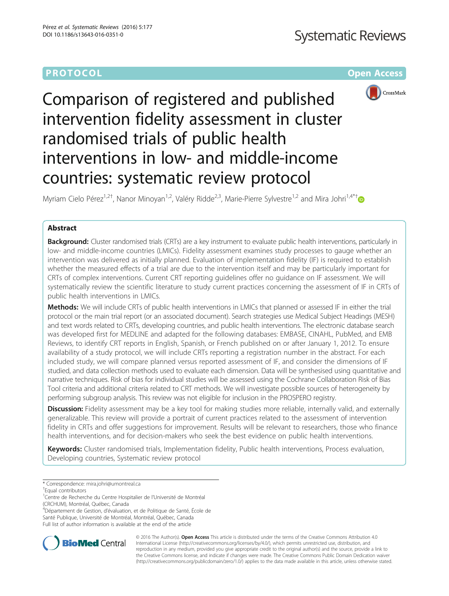# **PROTOCOL CONSUMING THE CONSUMING TEACHER CONSUMING THE CONSUMING TEACHER CONSUMING THE CONSUMING TEACHER CONSUMING**



# Comparison of registered and published intervention fidelity assessment in cluster randomised trials of public health interventions in low- and middle-income countries: systematic review protocol

Myriam Cielo Pérez<sup>1,2†</sup>, Nanor Minoyan<sup>1,2</sup>, Valéry Ridde<sup>2,3</sup>, Marie-Pierre Sylvestre<sup>1,2</sup> and Mira Johri<sup>1,4\*†</sup>

# Abstract

Background: Cluster randomised trials (CRTs) are a key instrument to evaluate public health interventions, particularly in low- and middle-income countries (LMICs). Fidelity assessment examines study processes to gauge whether an intervention was delivered as initially planned. Evaluation of implementation fidelity (IF) is required to establish whether the measured effects of a trial are due to the intervention itself and may be particularly important for CRTs of complex interventions. Current CRT reporting guidelines offer no guidance on IF assessment. We will systematically review the scientific literature to study current practices concerning the assessment of IF in CRTs of public health interventions in LMICs.

Methods: We will include CRTs of public health interventions in LMICs that planned or assessed IF in either the trial protocol or the main trial report (or an associated document). Search strategies use Medical Subject Headings (MESH) and text words related to CRTs, developing countries, and public health interventions. The electronic database search was developed first for MEDLINE and adapted for the following databases: EMBASE, CINAHL, PubMed, and EMB Reviews, to identify CRT reports in English, Spanish, or French published on or after January 1, 2012. To ensure availability of a study protocol, we will include CRTs reporting a registration number in the abstract. For each included study, we will compare planned versus reported assessment of IF, and consider the dimensions of IF studied, and data collection methods used to evaluate each dimension. Data will be synthesised using quantitative and narrative techniques. Risk of bias for individual studies will be assessed using the Cochrane Collaboration Risk of Bias Tool criteria and additional criteria related to CRT methods. We will investigate possible sources of heterogeneity by performing subgroup analysis. This review was not eligible for inclusion in the PROSPERO registry.

Discussion: Fidelity assessment may be a key tool for making studies more reliable, internally valid, and externally generalizable. This review will provide a portrait of current practices related to the assessment of intervention fidelity in CRTs and offer suggestions for improvement. Results will be relevant to researchers, those who finance health interventions, and for decision-makers who seek the best evidence on public health interventions.

Keywords: Cluster randomised trials, Implementation fidelity, Public health interventions, Process evaluation, Developing countries, Systematic review protocol

\* Correspondence: [mira.johri@umontreal.ca](mailto:mira.johri@umontreal.ca) †

<sup>4</sup>Département de Gestion, d'évaluation, et de Politique de Santé, École de Santé Publique, Université de Montréal, Montréal, Québec, Canada

Full list of author information is available at the end of the article



© 2016 The Author(s). Open Access This article is distributed under the terms of the Creative Commons Attribution 4.0 International License [\(http://creativecommons.org/licenses/by/4.0/](http://creativecommons.org/licenses/by/4.0/)), which permits unrestricted use, distribution, and reproduction in any medium, provided you give appropriate credit to the original author(s) and the source, provide a link to the Creative Commons license, and indicate if changes were made. The Creative Commons Public Domain Dedication waiver [\(http://creativecommons.org/publicdomain/zero/1.0/](http://creativecommons.org/publicdomain/zero/1.0/)) applies to the data made available in this article, unless otherwise stated.

Equal contributors

<sup>&</sup>lt;sup>1</sup>Centre de Recherche du Centre Hospitalier de l'Université de Montréal (CRCHUM), Montréal, Québec, Canada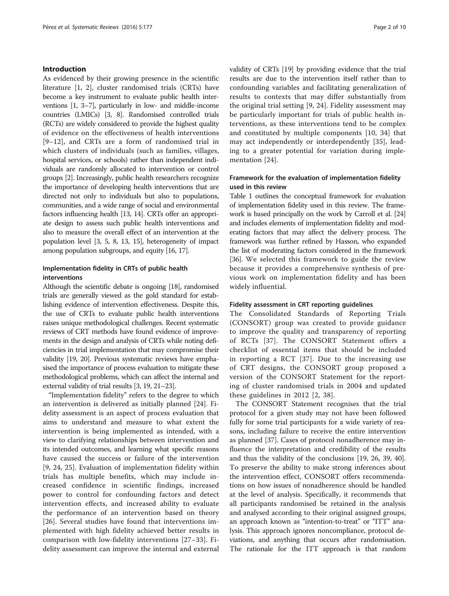# Introduction

As evidenced by their growing presence in the scientific literature [\[1, 2\]](#page-8-0), cluster randomised trials (CRTs) have become a key instrument to evaluate public health interventions [[1](#page-8-0), [3](#page-8-0)–[7](#page-8-0)], particularly in low- and middle-income countries (LMICs) [[3](#page-8-0), [8](#page-8-0)]. Randomised controlled trials (RCTs) are widely considered to provide the highest quality of evidence on the effectiveness of health interventions [[9](#page-8-0)–[12\]](#page-8-0), and CRTs are a form of randomised trial in which clusters of individuals (such as families, villages, hospital services, or schools) rather than independent individuals are randomly allocated to intervention or control groups [\[2\]](#page-8-0). Increasingly, public health researchers recognize the importance of developing health interventions that are directed not only to individuals but also to populations, communities, and a wide range of social and environmental factors influencing health [\[13](#page-8-0), [14](#page-8-0)]. CRTs offer an appropriate design to assess such public health interventions and also to measure the overall effect of an intervention at the population level [\[3, 5](#page-8-0), [8](#page-8-0), [13](#page-8-0), [15\]](#page-8-0), heterogeneity of impact among population subgroups, and equity [[16](#page-8-0), [17](#page-8-0)].

# Implementation fidelity in CRTs of public health interventions

Although the scientific debate is ongoing [[18\]](#page-8-0), randomised trials are generally viewed as the gold standard for establishing evidence of intervention effectiveness. Despite this, the use of CRTs to evaluate public health interventions raises unique methodological challenges. Recent systematic reviews of CRT methods have found evidence of improvements in the design and analysis of CRTs while noting deficiencies in trial implementation that may compromise their validity [\[19, 20](#page-8-0)]. Previous systematic reviews have emphasised the importance of process evaluation to mitigate these methodological problems, which can affect the internal and external validity of trial results [[3](#page-8-0), [19](#page-8-0), [21](#page-8-0)–[23](#page-9-0)].

"Implementation fidelity" refers to the degree to which an intervention is delivered as initially planned [\[24](#page-9-0)]. Fidelity assessment is an aspect of process evaluation that aims to understand and measure to what extent the intervention is being implemented as intended, with a view to clarifying relationships between intervention and its intended outcomes, and learning what specific reasons have caused the success or failure of the intervention [[9,](#page-8-0) [24, 25](#page-9-0)]. Evaluation of implementation fidelity within trials has multiple benefits, which may include increased confidence in scientific findings, increased power to control for confounding factors and detect intervention effects, and increased ability to evaluate the performance of an intervention based on theory [[26\]](#page-9-0). Several studies have found that interventions implemented with high fidelity achieved better results in comparison with low-fidelity interventions [[27](#page-9-0)–[33\]](#page-9-0). Fidelity assessment can improve the internal and external validity of CRTs [\[19\]](#page-8-0) by providing evidence that the trial results are due to the intervention itself rather than to confounding variables and facilitating generalization of results to contexts that may differ substantially from the original trial setting [[9,](#page-8-0) [24\]](#page-9-0). Fidelity assessment may be particularly important for trials of public health interventions, as these interventions tend to be complex and constituted by multiple components [[10,](#page-8-0) [34\]](#page-9-0) that may act independently or interdependently [\[35](#page-9-0)], leading to a greater potential for variation during implementation [[24\]](#page-9-0).

# Framework for the evaluation of implementation fidelity used in this review

Table [1](#page-2-0) outlines the conceptual framework for evaluation of implementation fidelity used in this review. The framework is based principally on the work by Carroll et al. [\[24](#page-9-0)] and includes elements of implementation fidelity and moderating factors that may affect the delivery process. The framework was further refined by Hasson, who expanded the list of moderating factors considered in the framework [[36](#page-9-0)]. We selected this framework to guide the review because it provides a comprehensive synthesis of previous work on implementation fidelity and has been widely influential.

### Fidelity assessment in CRT reporting guidelines

The Consolidated Standards of Reporting Trials (CONSORT) group was created to provide guidance to improve the quality and transparency of reporting of RCTs [[37](#page-9-0)]. The CONSORT Statement offers a checklist of essential items that should be included in reporting a RCT [[37](#page-9-0)]. Due to the increasing use of CRT designs, the CONSORT group proposed a version of the CONSORT Statement for the reporting of cluster randomised trials in 2004 and updated these guidelines in 2012 [\[2](#page-8-0), [38\]](#page-9-0).

The CONSORT Statement recognises that the trial protocol for a given study may not have been followed fully for some trial participants for a wide variety of reasons, including failure to receive the entire intervention as planned [[37](#page-9-0)]. Cases of protocol nonadherence may influence the interpretation and credibility of the results and thus the validity of the conclusions [[19,](#page-8-0) [26](#page-9-0), [39, 40](#page-9-0)]. To preserve the ability to make strong inferences about the intervention effect, CONSORT offers recommendations on how issues of nonadherence should be handled at the level of analysis. Specifically, it recommends that all participants randomised be retained in the analysis and analysed according to their original assigned groups, an approach known as "intention-to-treat" or "ITT" analysis. This approach ignores noncompliance, protocol deviations, and anything that occurs after randomisation. The rationale for the ITT approach is that random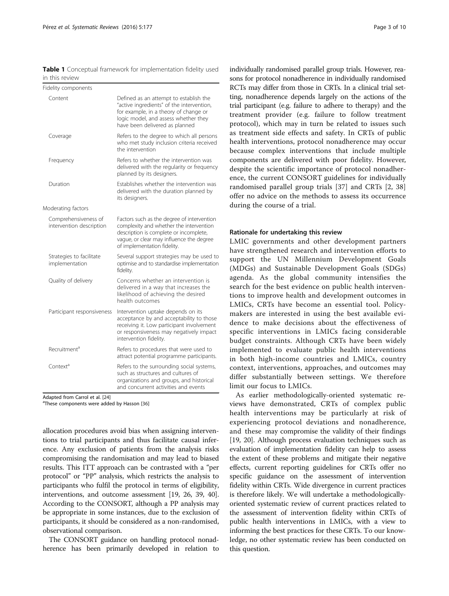<span id="page-2-0"></span>Table 1 Conceptual framework for implementation fidelity used in this review

| Fidelity components                              |                                                                                                                                                                                                            |
|--------------------------------------------------|------------------------------------------------------------------------------------------------------------------------------------------------------------------------------------------------------------|
| Content                                          | Defined as an attempt to establish the<br>"active ingredients" of the intervention,<br>for example, in a theory of change or<br>logic model, and assess whether they<br>have been delivered as planned     |
| Coverage                                         | Refers to the degree to which all persons<br>who met study inclusion criteria received<br>the intervention                                                                                                 |
| Frequency                                        | Refers to whether the intervention was<br>delivered with the regularity or frequency<br>planned by its designers.                                                                                          |
| Duration                                         | Establishes whether the intervention was<br>delivered with the duration planned by<br>its designers.                                                                                                       |
| Moderating factors                               |                                                                                                                                                                                                            |
| Comprehensiveness of<br>intervention description | Factors such as the degree of intervention<br>complexity and whether the intervention<br>description is complete or incomplete,<br>vague, or clear may influence the degree<br>of implementation fidelity. |
| Strategies to facilitate<br>implementation       | Several support strategies may be used to<br>optimise and to standardise implementation<br>fidelity.                                                                                                       |
| Quality of delivery                              | Concerns whether an intervention is<br>delivered in a way that increases the<br>likelihood of achieving the desired<br>health outcomes                                                                     |
| Participant responsiveness                       | Intervention uptake depends on its<br>acceptance by and acceptability to those<br>receiving it. Low participant involvement<br>or responsiveness may negatively impact<br>intervention fidelity.           |
| Recruitment <sup>a</sup>                         | Refers to procedures that were used to<br>attract potential programme participants.                                                                                                                        |
| Context <sup>a</sup>                             | Refers to the surrounding social systems,<br>such as structures and cultures of<br>organizations and groups, and historical<br>and concurrent activities and events                                        |

Adapted from Carrol et al. [[24\]](#page-9-0)

These components were added by Hasson [\[36](#page-9-0)]

allocation procedures avoid bias when assigning interventions to trial participants and thus facilitate causal inference. Any exclusion of patients from the analysis risks compromising the randomisation and may lead to biased results. This ITT approach can be contrasted with a "per protocol" or "PP" analysis, which restricts the analysis to participants who fulfil the protocol in terms of eligibility, interventions, and outcome assessment [\[19,](#page-8-0) [26, 39](#page-9-0), [40](#page-9-0)]. According to the CONSORT, although a PP analysis may be appropriate in some instances, due to the exclusion of participants, it should be considered as a non-randomised, observational comparison.

The CONSORT guidance on handling protocol nonadherence has been primarily developed in relation to

individually randomised parallel group trials. However, reasons for protocol nonadherence in individually randomised RCTs may differ from those in CRTs. In a clinical trial setting, nonadherence depends largely on the actions of the trial participant (e.g. failure to adhere to therapy) and the treatment provider (e.g. failure to follow treatment protocol), which may in turn be related to issues such as treatment side effects and safety. In CRTs of public health interventions, protocol nonadherence may occur because complex interventions that include multiple components are delivered with poor fidelity. However, despite the scientific importance of protocol nonadherence, the current CONSORT guidelines for individually randomised parallel group trials [\[37](#page-9-0)] and CRTs [\[2](#page-8-0), [38](#page-9-0)] offer no advice on the methods to assess its occurrence during the course of a trial.

### Rationale for undertaking this review

LMIC governments and other development partners have strengthened research and intervention efforts to support the UN Millennium Development Goals (MDGs) and Sustainable Development Goals (SDGs) agenda. As the global community intensifies the search for the best evidence on public health interventions to improve health and development outcomes in LMICs, CRTs have become an essential tool. Policymakers are interested in using the best available evidence to make decisions about the effectiveness of specific interventions in LMICs facing considerable budget constraints. Although CRTs have been widely implemented to evaluate public health interventions in both high-income countries and LMICs, country context, interventions, approaches, and outcomes may differ substantially between settings. We therefore limit our focus to LMICs.

As earlier methodologically-oriented systematic reviews have demonstrated, CRTs of complex public health interventions may be particularly at risk of experiencing protocol deviations and nonadherence, and these may compromise the validity of their findings [[19](#page-8-0), [20\]](#page-8-0). Although process evaluation techniques such as evaluation of implementation fidelity can help to assess the extent of these problems and mitigate their negative effects, current reporting guidelines for CRTs offer no specific guidance on the assessment of intervention fidelity within CRTs. Wide divergence in current practices is therefore likely. We will undertake a methodologicallyoriented systematic review of current practices related to the assessment of intervention fidelity within CRTs of public health interventions in LMICs, with a view to informing the best practices for these CRTs. To our knowledge, no other systematic review has been conducted on this question.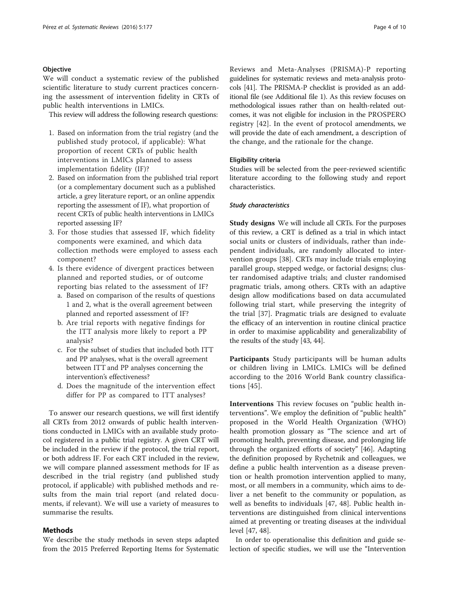# **Objective**

We will conduct a systematic review of the published scientific literature to study current practices concerning the assessment of intervention fidelity in CRTs of public health interventions in LMICs.

This review will address the following research questions:

- 1. Based on information from the trial registry (and the published study protocol, if applicable): What proportion of recent CRTs of public health interventions in LMICs planned to assess implementation fidelity (IF)?
- 2. Based on information from the published trial report (or a complementary document such as a published article, a grey literature report, or an online appendix reporting the assessment of IF), what proportion of recent CRTs of public health interventions in LMICs reported assessing IF?
- 3. For those studies that assessed IF, which fidelity components were examined, and which data collection methods were employed to assess each component?
- 4. Is there evidence of divergent practices between planned and reported studies, or of outcome reporting bias related to the assessment of IF?
	- a. Based on comparison of the results of questions 1 and 2, what is the overall agreement between planned and reported assessment of IF?
	- b. Are trial reports with negative findings for the ITT analysis more likely to report a PP analysis?
	- c. For the subset of studies that included both ITT and PP analyses, what is the overall agreement between ITT and PP analyses concerning the intervention's effectiveness?
	- d. Does the magnitude of the intervention effect differ for PP as compared to ITT analyses?

To answer our research questions, we will first identify all CRTs from 2012 onwards of public health interventions conducted in LMICs with an available study protocol registered in a public trial registry. A given CRT will be included in the review if the protocol, the trial report, or both address IF. For each CRT included in the review, we will compare planned assessment methods for IF as described in the trial registry (and published study protocol, if applicable) with published methods and results from the main trial report (and related documents, if relevant). We will use a variety of measures to summarise the results.

# Methods

We describe the study methods in seven steps adapted from the 2015 Preferred Reporting Items for Systematic Reviews and Meta-Analyses (PRISMA)-P reporting guidelines for systematic reviews and meta-analysis protocols [\[41\]](#page-9-0). The PRISMA-P checklist is provided as an additional file (see Additional file [1](#page-8-0)). As this review focuses on methodological issues rather than on health-related outcomes, it was not eligible for inclusion in the PROSPERO registry [[42\]](#page-9-0). In the event of protocol amendments, we will provide the date of each amendment, a description of the change, and the rationale for the change.

# Eligibility criteria

Studies will be selected from the peer-reviewed scientific literature according to the following study and report characteristics.

# Study characteristics

Study designs We will include all CRTs. For the purposes of this review, a CRT is defined as a trial in which intact social units or clusters of individuals, rather than independent individuals, are randomly allocated to intervention groups [[38\]](#page-9-0). CRTs may include trials employing parallel group, stepped wedge, or factorial designs; cluster randomised adaptive trials; and cluster randomised pragmatic trials, among others. CRTs with an adaptive design allow modifications based on data accumulated following trial start, while preserving the integrity of the trial [[37\]](#page-9-0). Pragmatic trials are designed to evaluate the efficacy of an intervention in routine clinical practice in order to maximise applicability and generalizability of the results of the study [[43](#page-9-0), [44\]](#page-9-0).

Participants Study participants will be human adults or children living in LMICs. LMICs will be defined according to the 2016 World Bank country classifications [[45](#page-9-0)].

Interventions This review focuses on "public health interventions". We employ the definition of "public health" proposed in the World Health Organization (WHO) health promotion glossary as "The science and art of promoting health, preventing disease, and prolonging life through the organized efforts of society" [[46\]](#page-9-0). Adapting the definition proposed by Rychetnik and colleagues, we define a public health intervention as a disease prevention or health promotion intervention applied to many, most, or all members in a community, which aims to deliver a net benefit to the community or population, as well as benefits to individuals [[47, 48](#page-9-0)]. Public health interventions are distinguished from clinical interventions aimed at preventing or treating diseases at the individual level [\[47](#page-9-0), [48](#page-9-0)].

In order to operationalise this definition and guide selection of specific studies, we will use the "Intervention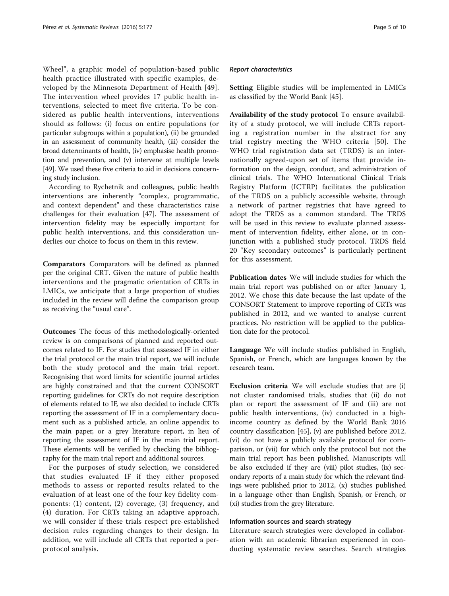Wheel", a graphic model of population-based public health practice illustrated with specific examples, developed by the Minnesota Department of Health [[49\]](#page-9-0). The intervention wheel provides 17 public health interventions, selected to meet five criteria. To be considered as public health interventions, interventions should as follows: (i) focus on entire populations (or particular subgroups within a population), (ii) be grounded in an assessment of community health, (iii) consider the broad determinants of health, (iv) emphasise health promotion and prevention, and (v) intervene at multiple levels [[49](#page-9-0)]. We used these five criteria to aid in decisions concerning study inclusion.

According to Rychetnik and colleagues, public health interventions are inherently "complex, programmatic, and context dependent" and these characteristics raise challenges for their evaluation [[47](#page-9-0)]. The assessment of intervention fidelity may be especially important for public health interventions, and this consideration underlies our choice to focus on them in this review.

Comparators Comparators will be defined as planned per the original CRT. Given the nature of public health interventions and the pragmatic orientation of CRTs in LMICs, we anticipate that a large proportion of studies included in the review will define the comparison group as receiving the "usual care".

Outcomes The focus of this methodologically-oriented review is on comparisons of planned and reported outcomes related to IF. For studies that assessed IF in either the trial protocol or the main trial report, we will include both the study protocol and the main trial report. Recognising that word limits for scientific journal articles are highly constrained and that the current CONSORT reporting guidelines for CRTs do not require description of elements related to IF, we also decided to include CRTs reporting the assessment of IF in a complementary document such as a published article, an online appendix to the main paper, or a grey literature report, in lieu of reporting the assessment of IF in the main trial report. These elements will be verified by checking the bibliography for the main trial report and additional sources.

For the purposes of study selection, we considered that studies evaluated IF if they either proposed methods to assess or reported results related to the evaluation of at least one of the four key fidelity components: (1) content, (2) coverage, (3) frequency, and (4) duration. For CRTs taking an adaptive approach, we will consider if these trials respect pre-established decision rules regarding changes to their design. In addition, we will include all CRTs that reported a perprotocol analysis.

## Report characteristics

Setting Eligible studies will be implemented in LMICs as classified by the World Bank [[45\]](#page-9-0).

Availability of the study protocol To ensure availability of a study protocol, we will include CRTs reporting a registration number in the abstract for any trial registry meeting the WHO criteria [[50\]](#page-9-0). The WHO trial registration data set (TRDS) is an internationally agreed-upon set of items that provide information on the design, conduct, and administration of clinical trials. The WHO International Clinical Trials Registry Platform (ICTRP) facilitates the publication of the TRDS on a publicly accessible website, through a network of partner registries that have agreed to adopt the TRDS as a common standard. The TRDS will be used in this review to evaluate planned assessment of intervention fidelity, either alone, or in conjunction with a published study protocol. TRDS field 20 "Key secondary outcomes" is particularly pertinent for this assessment.

Publication dates We will include studies for which the main trial report was published on or after January 1, 2012. We chose this date because the last update of the CONSORT Statement to improve reporting of CRTs was published in 2012, and we wanted to analyse current practices. No restriction will be applied to the publication date for the protocol.

Language We will include studies published in English, Spanish, or French, which are languages known by the research team.

Exclusion criteria We will exclude studies that are (i) not cluster randomised trials, studies that (ii) do not plan or report the assessment of IF and (iii) are not public health interventions, (iv) conducted in a highincome country as defined by the World Bank 2016 country classification [[45\]](#page-9-0), (v) are published before 2012, (vi) do not have a publicly available protocol for comparison, or (vii) for which only the protocol but not the main trial report has been published. Manuscripts will be also excluded if they are (viii) pilot studies, (ix) secondary reports of a main study for which the relevant findings were published prior to 2012, (x) studies published in a language other than English, Spanish, or French, or (xi) studies from the grey literature.

# Information sources and search strategy

Literature search strategies were developed in collaboration with an academic librarian experienced in conducting systematic review searches. Search strategies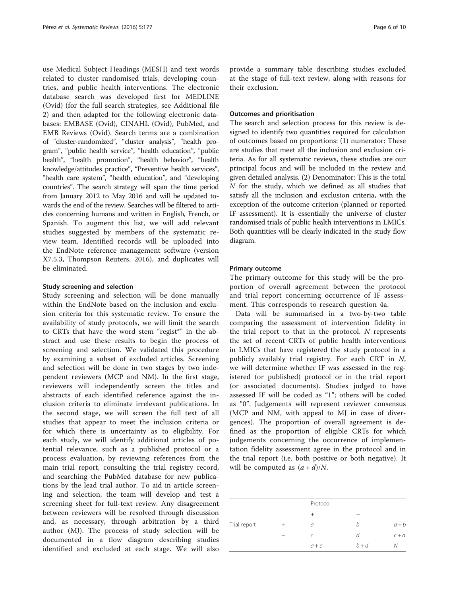use Medical Subject Headings (MESH) and text words related to cluster randomised trials, developing countries, and public health interventions. The electronic database search was developed first for MEDLINE (Ovid) (for the full search strategies, see Additional file [2\)](#page-8-0) and then adapted for the following electronic databases: EMBASE (Ovid), CINAHL (Ovid), PubMed, and EMB Reviews (Ovid). Search terms are a combination of "cluster-randomized", "cluster analysis", "health program", "public health service", "health education", "public health", "health promotion", "health behavior", "health knowledge/attitudes practice", "Preventive health services", "health care system", "health education", and "developing countries". The search strategy will span the time period from January 2012 to May 2016 and will be updated towards the end of the review. Searches will be filtered to articles concerning humans and written in English, French, or Spanish. To augment this list, we will add relevant studies suggested by members of the systematic review team. Identified records will be uploaded into the EndNote reference management software (version X7.5.3, Thompson Reuters, 2016), and duplicates will be eliminated.

# Study screening and selection

Study screening and selection will be done manually within the EndNote based on the inclusion and exclusion criteria for this systematic review. To ensure the availability of study protocols, we will limit the search to CRTs that have the word stem "regist\*" in the abstract and use these results to begin the process of screening and selection. We validated this procedure by examining a subset of excluded articles. Screening and selection will be done in two stages by two independent reviewers (MCP and NM). In the first stage, reviewers will independently screen the titles and abstracts of each identified reference against the inclusion criteria to eliminate irrelevant publications. In the second stage, we will screen the full text of all studies that appear to meet the inclusion criteria or for which there is uncertainty as to eligibility. For each study, we will identify additional articles of potential relevance, such as a published protocol or a process evaluation, by reviewing references from the main trial report, consulting the trial registry record, and searching the PubMed database for new publications by the lead trial author. To aid in article screening and selection, the team will develop and test a screening sheet for full-text review. Any disagreement between reviewers will be resolved through discussion and, as necessary, through arbitration by a third author (MJ). The process of study selection will be documented in a flow diagram describing studies identified and excluded at each stage. We will also

provide a summary table describing studies excluded at the stage of full-text review, along with reasons for their exclusion.

# Outcomes and prioritisation

The search and selection process for this review is designed to identify two quantities required for calculation of outcomes based on proportions: (1) numerator: These are studies that meet all the inclusion and exclusion criteria. As for all systematic reviews, these studies are our principal focus and will be included in the review and given detailed analysis. (2) Denominator: This is the total N for the study, which we defined as all studies that satisfy all the inclusion and exclusion criteria, with the exception of the outcome criterion (planned or reported IF assessment). It is essentially the universe of cluster randomised trials of public health interventions in LMICs. Both quantities will be clearly indicated in the study flow diagram.

# Primary outcome

The primary outcome for this study will be the proportion of overall agreement between the protocol and trial report concerning occurrence of IF assessment. This corresponds to research question 4a.

Data will be summarised in a two-by-two table comparing the assessment of intervention fidelity in the trial report to that in the protocol.  $N$  represents the set of recent CRTs of public health interventions in LMICs that have registered the study protocol in a publicly availably trial registry. For each CRT in N, we will determine whether IF was assessed in the registered (or published) protocol or in the trial report (or associated documents). Studies judged to have assessed IF will be coded as "1"; others will be coded as "0". Judgements will represent reviewer consensus (MCP and NM, with appeal to MJ in case of divergences). The proportion of overall agreement is defined as the proportion of eligible CRTs for which judgements concerning the occurrence of implementation fidelity assessment agree in the protocol and in the trial report (i.e. both positive or both negative). It will be computed as  $(a + d)/N$ .

|              |      | Protocol |         |         |
|--------------|------|----------|---------|---------|
|              |      | $^+$     |         |         |
| Trial report | $^+$ | a        | h       | $a + b$ |
|              |      | C        | d       | $c + d$ |
|              |      | $a + c$  | $b + d$ | Ν       |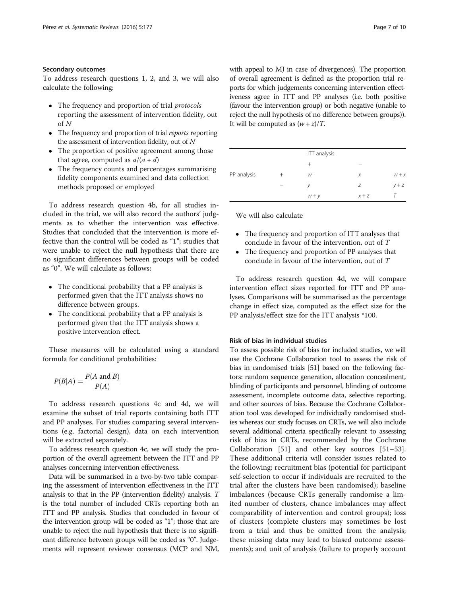# Secondary outcomes

To address research questions 1, 2, and 3, we will also calculate the following:

- The frequency and proportion of trial *protocols* reporting the assessment of intervention fidelity, out of N
- The frequency and proportion of trial *reports* reporting the assessment of intervention fidelity, out of  $N$
- The proportion of positive agreement among those that agree, computed as  $a/(a + d)$
- The frequency counts and percentages summarising fidelity components examined and data collection methods proposed or employed

To address research question 4b, for all studies included in the trial, we will also record the authors' judgments as to whether the intervention was effective. Studies that concluded that the intervention is more effective than the control will be coded as "1"; studies that were unable to reject the null hypothesis that there are no significant differences between groups will be coded as "0". We will calculate as follows:

- The conditional probability that a PP analysis is performed given that the ITT analysis shows no difference between groups.
- The conditional probability that a PP analysis is performed given that the ITT analysis shows a positive intervention effect.

These measures will be calculated using a standard formula for conditional probabilities:

$$
P(B|A) = \frac{P(A \text{ and } B)}{P(A)}
$$

To address research questions 4c and 4d, we will examine the subset of trial reports containing both ITT and PP analyses. For studies comparing several interventions (e.g. factorial design), data on each intervention will be extracted separately.

To address research question 4c, we will study the proportion of the overall agreement between the ITT and PP analyses concerning intervention effectiveness.

Data will be summarised in a two-by-two table comparing the assessment of intervention effectiveness in the ITT analysis to that in the PP (intervention fidelity) analysis. T is the total number of included CRTs reporting both an ITT and PP analysis. Studies that concluded in favour of the intervention group will be coded as "1"; those that are unable to reject the null hypothesis that there is no significant difference between groups will be coded as "0". Judgements will represent reviewer consensus (MCP and NM, with appeal to MJ in case of divergences). The proportion of overall agreement is defined as the proportion trial reports for which judgements concerning intervention effectiveness agree in ITT and PP analyses (i.e. both positive (favour the intervention group) or both negative (unable to reject the null hypothesis of no difference between groups)). It will be computed as  $(w + z)/T$ .

|             |        | ITT analysis |         |         |
|-------------|--------|--------------|---------|---------|
|             |        | $^{+}$       |         |         |
| PP analysis | $^{+}$ | W            | X       | $W + X$ |
|             |        | V            | Ζ       | $y + z$ |
|             |        | $W + Y$      | $X + Z$ |         |

We will also calculate

- The frequency and proportion of ITT analyses that conclude in favour of the intervention, out of T
- The frequency and proportion of PP analyses that conclude in favour of the intervention, out of T

To address research question 4d, we will compare intervention effect sizes reported for ITT and PP analyses. Comparisons will be summarised as the percentage change in effect size, computed as the effect size for the PP analysis/effect size for the ITT analysis \*100.

# Risk of bias in individual studies

To assess possible risk of bias for included studies, we will use the Cochrane Collaboration tool to assess the risk of bias in randomised trials [\[51\]](#page-9-0) based on the following factors: random sequence generation, allocation concealment, blinding of participants and personnel, blinding of outcome assessment, incomplete outcome data, selective reporting, and other sources of bias. Because the Cochrane Collaboration tool was developed for individually randomised studies whereas our study focuses on CRTs, we will also include several additional criteria specifically relevant to assessing risk of bias in CRTs, recommended by the Cochrane Collaboration [\[51](#page-9-0)] and other key sources [\[51](#page-9-0)–[53](#page-9-0)]. These additional criteria will consider issues related to the following: recruitment bias (potential for participant self-selection to occur if individuals are recruited to the trial after the clusters have been randomised); baseline imbalances (because CRTs generally randomise a limited number of clusters, chance imbalances may affect comparability of intervention and control groups); loss of clusters (complete clusters may sometimes be lost from a trial and thus be omitted from the analysis; these missing data may lead to biased outcome assessments); and unit of analysis (failure to properly account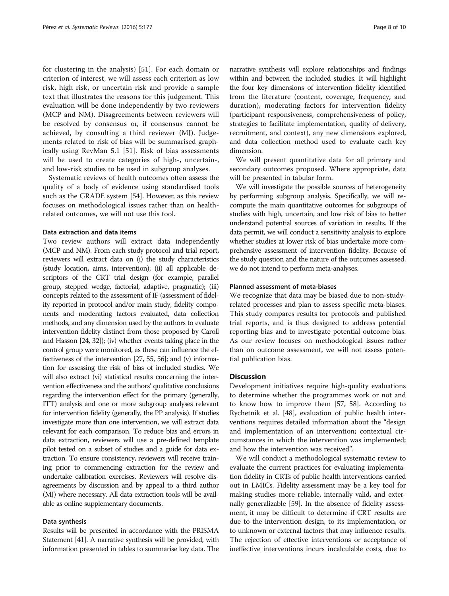for clustering in the analysis) [\[51](#page-9-0)]. For each domain or criterion of interest, we will assess each criterion as low risk, high risk, or uncertain risk and provide a sample text that illustrates the reasons for this judgement. This evaluation will be done independently by two reviewers (MCP and NM). Disagreements between reviewers will be resolved by consensus or, if consensus cannot be achieved, by consulting a third reviewer (MJ). Judgements related to risk of bias will be summarised graphically using RevMan 5.1 [\[51](#page-9-0)]. Risk of bias assessments will be used to create categories of high-, uncertain-, and low-risk studies to be used in subgroup analyses.

Systematic reviews of health outcomes often assess the quality of a body of evidence using standardised tools such as the GRADE system [[54\]](#page-9-0). However, as this review focuses on methodological issues rather than on healthrelated outcomes, we will not use this tool.

### Data extraction and data items

Two review authors will extract data independently (MCP and NM). From each study protocol and trial report, reviewers will extract data on (i) the study characteristics (study location, aims, intervention); (ii) all applicable descriptors of the CRT trial design (for example, parallel group, stepped wedge, factorial, adaptive, pragmatic); (iii) concepts related to the assessment of IF (assessment of fidelity reported in protocol and/or main study, fidelity components and moderating factors evaluated, data collection methods, and any dimension used by the authors to evaluate intervention fidelity distinct from those proposed by Caroll and Hasson [\[24, 32\]](#page-9-0)); (iv) whether events taking place in the control group were monitored, as these can influence the effectiveness of the intervention [\[27](#page-9-0), [55, 56\]](#page-9-0); and (v) information for assessing the risk of bias of included studies. We will also extract (vi) statistical results concerning the intervention effectiveness and the authors' qualitative conclusions regarding the intervention effect for the primary (generally, ITT) analysis and one or more subgroup analyses relevant for intervention fidelity (generally, the PP analysis). If studies investigate more than one intervention, we will extract data relevant for each comparison. To reduce bias and errors in data extraction, reviewers will use a pre-defined template pilot tested on a subset of studies and a guide for data extraction. To ensure consistency, reviewers will receive training prior to commencing extraction for the review and undertake calibration exercises. Reviewers will resolve disagreements by discussion and by appeal to a third author (MJ) where necessary. All data extraction tools will be available as online supplementary documents.

# Data synthesis

Results will be presented in accordance with the PRISMA Statement [\[41\]](#page-9-0). A narrative synthesis will be provided, with information presented in tables to summarise key data. The

narrative synthesis will explore relationships and findings within and between the included studies. It will highlight the four key dimensions of intervention fidelity identified from the literature (content, coverage, frequency, and duration), moderating factors for intervention fidelity (participant responsiveness, comprehensiveness of policy, strategies to facilitate implementation, quality of delivery, recruitment, and context), any new dimensions explored, and data collection method used to evaluate each key dimension.

We will present quantitative data for all primary and secondary outcomes proposed. Where appropriate, data will be presented in tabular form.

We will investigate the possible sources of heterogeneity by performing subgroup analysis. Specifically, we will recompute the main quantitative outcomes for subgroups of studies with high, uncertain, and low risk of bias to better understand potential sources of variation in results. If the data permit, we will conduct a sensitivity analysis to explore whether studies at lower risk of bias undertake more comprehensive assessment of intervention fidelity. Because of the study question and the nature of the outcomes assessed, we do not intend to perform meta-analyses.

## Planned assessment of meta-biases

We recognize that data may be biased due to non-studyrelated processes and plan to assess specific meta-biases. This study compares results for protocols and published trial reports, and is thus designed to address potential reporting bias and to investigate potential outcome bias. As our review focuses on methodological issues rather than on outcome assessment, we will not assess potential publication bias.

#### **Discussion**

Development initiatives require high-quality evaluations to determine whether the programmes work or not and to know how to improve them [[57, 58](#page-9-0)]. According to Rychetnik et al. [\[48](#page-9-0)], evaluation of public health interventions requires detailed information about the "design and implementation of an intervention; contextual circumstances in which the intervention was implemented; and how the intervention was received".

We will conduct a methodological systematic review to evaluate the current practices for evaluating implementation fidelity in CRTs of public health interventions carried out in LMICs. Fidelity assessment may be a key tool for making studies more reliable, internally valid, and externally generalizable [\[59\]](#page-9-0). In the absence of fidelity assessment, it may be difficult to determine if CRT results are due to the intervention design, to its implementation, or to unknown or external factors that may influence results. The rejection of effective interventions or acceptance of ineffective interventions incurs incalculable costs, due to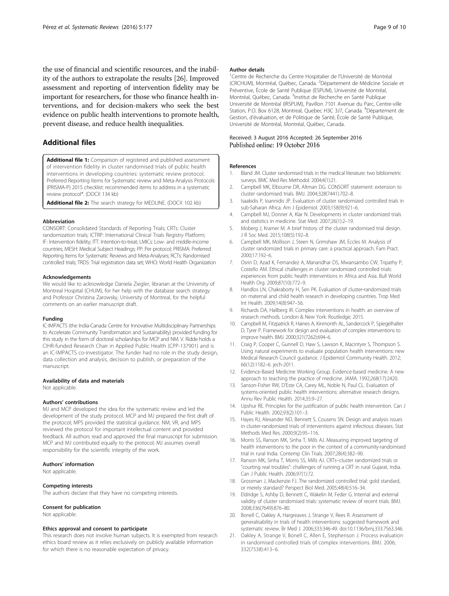<span id="page-8-0"></span>the use of financial and scientific resources, and the inability of the authors to extrapolate the results [\[26\]](#page-9-0). Improved assessment and reporting of intervention fidelity may be important for researchers, for those who finance health interventions, and for decision-makers who seek the best evidence on public health interventions to promote health, prevent disease, and reduce health inequalities.

# Additional files

[Additional file 1:](dx.doi.org/10.1186/s13643-016-0351-0) Comparison of registered and published assessment of intervention fidelity in cluster randomised trials of public health interventions in developing countries: systematic review protocol. Preferred Reporting Items for Systematic review and Meta-Analysis Protocols (PRISMA-P) 2015 checklist: recommended items to address in a systematic review protocol\*. (DOCX 134 kb)

[Additional file 2:](dx.doi.org/10.1186/s13643-016-0351-0) The search strategy for MEDLINE. (DOCX 102 kb)

#### Abbreviation

CONSORT: Consolidated Standards of Reporting Trials; CRTs: Cluster randomization trials; ICTRP: International Clinical Trials Registry Platform; IF: Intervention fidelity; ITT: Intention-to-treat; LMICs: Low- and middle-income countries; MESH: Medical Subject Headings; PP: Per protocol; PRISMA: Preferred Reporting Items for Systematic Reviews and Meta-Analyses; RCTs: Randomised controlled trials; TRDS: Trial registration data set; WHO: World Health Organization

#### Acknowledgements

We would like to acknowledge Daniela Ziegler, librarian at the University of Montreal Hospital (CHUM), for her help with the database search strategy and Professor Christina Zarowsky, University of Montreal, for the helpful comments on an earlier manuscript draft.

#### Funding

IC-IMPACTS (the India-Canada Centre for Innovative Multidisciplinary Partnerships to Accelerate Community Transformation and Sustainability) provided funding for this study in the form of doctoral scholarships for MCP and NM. V. Ridde holds a CIHR-funded Research Chair in Applied Public Health (CPP-137901) and is an IC-IMPACTS co-investigator. The funder had no role in the study design, data collection and analysis, decision to publish, or preparation of the manuscript.

### Availability of data and materials

Not applicable.

#### Authors' contributions

MJ and MCP developed the idea for the systematic review and led the development of the study protocol. MCP and MJ prepared the first draft of the protocol; MPS provided the statistical guidance. NM, VR, and MPS reviewed the protocol for important intellectual content and provided feedback. All authors read and approved the final manuscript for submission. MCP and MJ contributed equally to the protocol; MJ assumes overall responsibility for the scientific integrity of the work.

#### Authors' information

Not applicable.

#### Competing interests

The authors declare that they have no competing interests.

#### Consent for publication

Not applicable.

#### Ethics approval and consent to participate

This research does not involve human subjects. It is exempted from research ethics board review as it relies exclusively on publicly available information for which there is no reasonable expectation of privacy.

#### Author details

<sup>1</sup> Centre de Recherche du Centre Hospitalier de l'Université de Montréal (CRCHUM), Montréal, Québec, Canada. <sup>2</sup>Département de Médicine Sociale et Préventive, École de Santé Publique (ESPUM), Université de Montréal, Montréal, Québec, Canada. <sup>3</sup>Institut de Recherche en Santé Publique Université de Montrèal (IRSPUM), Pavillon 7101 Avenue du Parc, Centre-ville Station, P.O. Box 6128, Montreal, Quebec H3C 3J7, Canada. <sup>4</sup>Département de Gestion, d'évaluation, et de Politique de Santé, École de Santé Publique, Université de Montréal, Montréal, Québec, Canada.

#### Received: 3 August 2016 Accepted: 26 September 2016 Published online: 19 October 2016

#### References

- 1. Bland JM. Cluster randomised trials in the medical literature: two bibliometric surveys. BMC Med Res Methodol. 2004;4(1):21.
- 2. Campbell MK, Elbourne DR, Altman DG. CONSORT statement: extension to cluster randomised trials. BMJ. 2004;328(7441):702–8.
- 3. Isaakidis P, Ioannidis JP. Evaluation of cluster randomized controlled trials in sub-Saharan Africa. Am J Epidemiol. 2003;158(9):921–6.
- 4. Campbell MJ, Donner A, Klar N. Developments in cluster randomized trials and statistics in medicine. Stat Med. 2007;26(1):2–19.
- 5. Moberg J, Kramer M. A brief history of the cluster randomised trial design. J R Soc Med. 2015;108(5):192–8.
- 6. Campbell MK, Mollison J, Steen N, Grimshaw JM, Eccles M. Analysis of cluster randomized trials in primary care: a practical approach. Fam Pract. 2000;17:192–6.
- 7. Osrin D, Azad K, Fernandez A, Manandhar DS, Mwansambo CW, Tripathy P, Costello AM. Ethical challenges in cluster randomized controlled trials: experiences from public health interventions in Africa and Asia. Bull World Health Org. 2009;87(10):772–9.
- Handlos LN, Chakraborty H, Sen PK. Evaluation of cluster-randomized trials on maternal and child health research in developing countries. Trop Med Int Health. 2009;14(8):947–56.
- 9. Richards DA, Hallberg IR. Complex interventions in health: an overview of research methods. London & New York: Routledge; 2015.
- 10. Campbell M, Fitzpatrick R, Haines A, Kinmonth AL, Sandercock P, Spiegelhalter D, Tyrer P. Framework for design and evaluation of complex interventions to improve health. BMJ. 2000;321(7262):694–6.
- 11. Craig P, Cooper C, Gunnell D, Haw S, Lawson K, Macintyre S, Thompson S. Using natural experiments to evaluate population health interventions: new Medical Research Council guidance. J Epidemiol Community Health. 2012; 66(12):1182–6. jech-2011.
- 12. Evidence-Based Medicine Working Group. Evidence-based medicine. A new approach to teaching the practice of medicine. JAMA. 1992;268(17):2420.
- 13. Sanson-Fisher RW, D'Este CA, Carey ML, Noble N, Paul CL. Evaluation of systems-oriented public health interventions: alternative research designs. Annu Rev Public Health. 2014;35:9–27.
- 14. Upshur RE. Principles for the justification of public health intervention. Can J Public Health. 2002;93(2):101–3.
- 15. Hayes RJ, Alexander ND, Bennett S, Cousens SN. Design and analysis issues in cluster-randomized trials of interventions against infectious diseases. Stat Methods Med Res. 2000;9(2):95–116.
- 16. Morris SS, Ranson MK, Sinha T, Mills AJ. Measuring improved targeting of health interventions to the poor in the context of a community-randomised trial in rural India. Contemp Clin Trials. 2007;28(4):382–90.
- 17. Ranson MK, Sinha T, Morris SS, Mills AJ. CRTs–cluster randomized trials or "courting real troubles": challenges of running a CRT in rural Gujarat, India. Can J Public Health. 2006;97(1):72.
- 18. Grossman J, Mackenzie FJ. The randomized controlled trial: gold standard, or merely standard? Perspect Biol Med. 2005;48(4):516–34.
- 19. Eldridge S, Ashby D, Bennett C, Wakelin M, Feder G. Internal and external validity of cluster randomised trials: systematic review of recent trials. BMJ. 2008;336(7649):876–80.
- 20. Bonell C, Oakley A, Hargreaves J, Strange V, Rees R. Assessment of generalisability in trials of health interventions: suggested framework and systematic review. Br Med J. 2006;333:346-49. doi:[10.1136/bmj.333.7563.346.](http://dx.doi.org/10.1136/bmj.333.7563.346)
- 21. Oakley A, Strange V, Bonell C, Allen E, Stephenson J. Process evaluation in randomised controlled trials of complex interventions. BMJ. 2006; 332(7538):413–6.